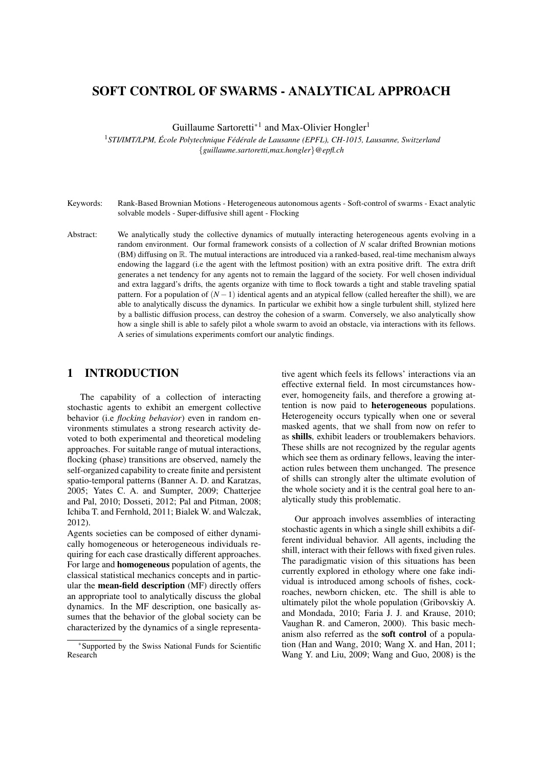# SOFT CONTROL OF SWARMS - ANALYTICAL APPROACH

Guillaume Sartoretti<sup>\*1</sup> and Max-Olivier Hongler<sup>1</sup>

<sup>1</sup>*STI/IMT/LPM, Ecole Polytechnique F ´ ed´ erale de Lausanne (EPFL), CH-1015, Lausanne, Switzerland ´* {*guillaume.sartoretti,max.hongler*}*@epfl.ch*

- Keywords: Rank-Based Brownian Motions Heterogeneous autonomous agents Soft-control of swarms Exact analytic solvable models - Super-diffusive shill agent - Flocking
- Abstract: We analytically study the collective dynamics of mutually interacting heterogeneous agents evolving in a random environment. Our formal framework consists of a collection of *N* scalar drifted Brownian motions (BM) diffusing on R. The mutual interactions are introduced via a ranked-based, real-time mechanism always endowing the laggard (i.e the agent with the leftmost position) with an extra positive drift. The extra drift generates a net tendency for any agents not to remain the laggard of the society. For well chosen individual and extra laggard's drifts, the agents organize with time to flock towards a tight and stable traveling spatial pattern. For a population of (*N* −1) identical agents and an atypical fellow (called hereafter the shill), we are able to analytically discuss the dynamics. In particular we exhibit how a single turbulent shill, stylized here by a ballistic diffusion process, can destroy the cohesion of a swarm. Conversely, we also analytically show how a single shill is able to safely pilot a whole swarm to avoid an obstacle, via interactions with its fellows. A series of simulations experiments comfort our analytic findings.

# 1 INTRODUCTION

The capability of a collection of interacting stochastic agents to exhibit an emergent collective behavior (i.e *flocking behavior*) even in random environments stimulates a strong research activity devoted to both experimental and theoretical modeling approaches. For suitable range of mutual interactions, flocking (phase) transitions are observed, namely the self-organized capability to create finite and persistent spatio-temporal patterns (Banner A. D. and Karatzas, 2005; Yates C. A. and Sumpter, 2009; Chatterjee and Pal, 2010; Dosseti, 2012; Pal and Pitman, 2008; Ichiba T. and Fernhold, 2011; Bialek W. and Walczak, 2012).

Agents societies can be composed of either dynamically homogeneous or heterogeneous individuals requiring for each case drastically different approaches. For large and homogeneous population of agents, the classical statistical mechanics concepts and in particular the mean-field description (MF) directly offers an appropriate tool to analytically discuss the global dynamics. In the MF description, one basically assumes that the behavior of the global society can be characterized by the dynamics of a single representa-

tive agent which feels its fellows' interactions via an effective external field. In most circumstances however, homogeneity fails, and therefore a growing attention is now paid to heterogeneous populations. Heterogeneity occurs typically when one or several masked agents, that we shall from now on refer to as shills, exhibit leaders or troublemakers behaviors. These shills are not recognized by the regular agents which see them as ordinary fellows, leaving the interaction rules between them unchanged. The presence of shills can strongly alter the ultimate evolution of the whole society and it is the central goal here to analytically study this problematic.

Our approach involves assemblies of interacting stochastic agents in which a single shill exhibits a different individual behavior. All agents, including the shill, interact with their fellows with fixed given rules. The paradigmatic vision of this situations has been currently explored in ethology where one fake individual is introduced among schools of fishes, cockroaches, newborn chicken, etc. The shill is able to ultimately pilot the whole population (Gribovskiy A. and Mondada, 2010; Faria J. J. and Krause, 2010; Vaughan R. and Cameron, 2000). This basic mechanism also referred as the soft control of a population (Han and Wang, 2010; Wang X. and Han, 2011; Wang Y. and Liu, 2009; Wang and Guo, 2008) is the

<sup>∗</sup>Supported by the Swiss National Funds for Scientific Research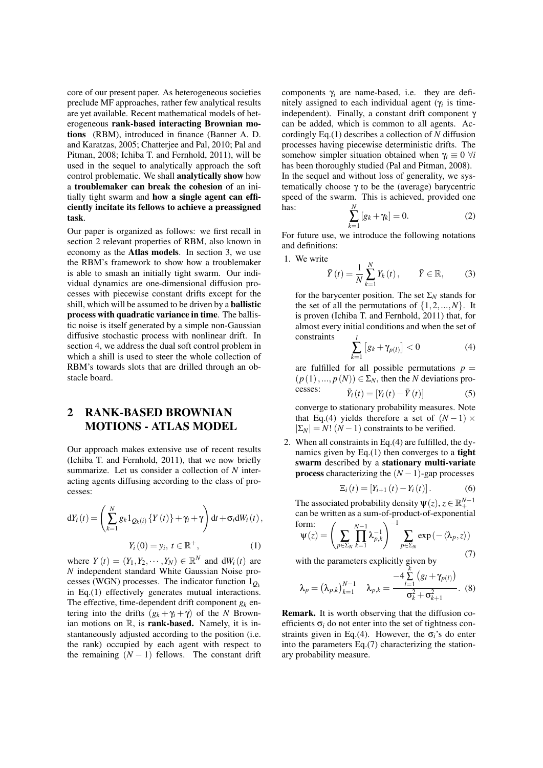core of our present paper. As heterogeneous societies preclude MF approaches, rather few analytical results are yet available. Recent mathematical models of heterogeneous rank-based interacting Brownian motions (RBM), introduced in finance (Banner A. D. and Karatzas, 2005; Chatterjee and Pal, 2010; Pal and Pitman, 2008; Ichiba T. and Fernhold, 2011), will be used in the sequel to analytically approach the soft control problematic. We shall analytically show how a troublemaker can break the cohesion of an initially tight swarm and how a single agent can efficiently incitate its fellows to achieve a preassigned task.

Our paper is organized as follows: we first recall in section 2 relevant properties of RBM, also known in economy as the Atlas models. In section 3, we use the RBM's framework to show how a troublemaker is able to smash an initially tight swarm. Our individual dynamics are one-dimensional diffusion processes with piecewise constant drifts except for the shill, which will be assumed to be driven by a ballistic process with quadratic variance in time. The ballistic noise is itself generated by a simple non-Gaussian diffusive stochastic process with nonlinear drift. In section 4, we address the dual soft control problem in which a shill is used to steer the whole collection of RBM's towards slots that are drilled through an obstacle board.

## 2 RANK-BASED BROWNIAN MOTIONS - ATLAS MODEL

Our approach makes extensive use of recent results (Ichiba T. and Fernhold, 2011), that we now briefly summarize. Let us consider a collection of *N* interacting agents diffusing according to the class of processes:

$$
dY_i(t) = \left(\sum_{k=1}^N g_k 1_{Q_k(i)} \left\{Y(t)\right\} + \gamma_i + \gamma\right) dt + \sigma_i dW_i(t),
$$
  

$$
Y_i(0) = y_i, t \in \mathbb{R}^+, \qquad (1)
$$

where  $Y(t) = (Y_1, Y_2, \dots, Y_N) \in \mathbb{R}^N$  and  $dW_i(t)$  are *N* independent standard White Gaussian Noise processes (WGN) processes. The indicator function  $1_{O_k}$ in Eq.(1) effectively generates mutual interactions. The effective, time-dependent drift component  $g_k$  entering into the drifts  $(g_k + \gamma_i + \gamma)$  of the *N* Brownian motions on  $\mathbb{R}$ , is **rank-based.** Namely, it is instantaneously adjusted according to the position (i.e. the rank) occupied by each agent with respect to the remaining  $(N - 1)$  fellows. The constant drift components  $\gamma_i$  are name-based, i.e. they are definitely assigned to each individual agent ( $\gamma$ *i* is timeindependent). Finally, a constant drift component γ can be added, which is common to all agents. Accordingly Eq.(1) describes a collection of *N* diffusion processes having piecewise deterministic drifts. The somehow simpler situation obtained when  $\gamma_i \equiv 0 \ \forall i$ has been thoroughly studied (Pal and Pitman, 2008). In the sequel and without loss of generality, we systematically choose γ to be the (average) barycentric speed of the swarm. This is achieved, provided one has: *N*

$$
\sum_{k=1}^{N} \left[ g_k + \gamma_k \right] = 0. \tag{2}
$$

For future use, we introduce the following notations and definitions:

1. We write

$$
\bar{Y}(t) = \frac{1}{N} \sum_{k=1}^{N} Y_k(t), \qquad \bar{Y} \in \mathbb{R}, \qquad (3)
$$

for the barycenter position. The set  $\Sigma_N$  stands for the set of all the permutations of  $\{1, 2, ..., N\}$ . It is proven (Ichiba T. and Fernhold, 2011) that, for almost every initial conditions and when the set of constraints *l*

$$
\sum_{k=1}^{i} \left[ g_k + \gamma_{p(l)} \right] < 0 \tag{4}
$$

are fulfilled for all possible permutations  $p =$  $(p(1),..., p(N)) \in \Sigma_N$ , then the *N* deviations processes:  $\tilde{Y}_i(t) = [Y_i(t) - \bar{Y}(t)]$  (5)

converge to stationary probability measures. Note that Eq.(4) yields therefore a set of  $(N-1) \times$  $|\Sigma_N| = N! (N - 1)$  constraints to be verified.

2. When all constraints in Eq.(4) are fulfilled, the dynamics given by Eq.(1) then converges to a tight swarm described by a stationary multi-variate **process** characterizing the  $(N-1)$ -gap processes

$$
\Xi_{i}(t) = [Y_{i+1}(t) - Y_{i}(t)].
$$
 (6)

The associated probability density  $\psi(z)$ ,  $z \in \mathbb{R}^{N-1}_+$ can be written as a sum-of-product-of-exponential  $f<sub>0</sub>$ 

$$
\text{form:} \quad \Psi(z) = \left(\sum_{p \in \Sigma_N} \prod_{k=1}^{N-1} \lambda_{p,k}^{-1}\right)^{-1} \sum_{p \in \Sigma_N} \exp\left(-\langle \lambda_p, z \rangle\right) \tag{7}
$$

with the parameters explicitly given by *k*

$$
\lambda_p = \left(\lambda_{p,k}\right)_{k=1}^{N-1} \quad \lambda_{p,k} = \frac{-4\sum\limits_{l=1}^{N} \left(g_l + \gamma_{p(l)}\right)}{\sigma_k^2 + \sigma_{k+1}^2}.
$$
 (8)

Remark. It is worth observing that the diffusion coefficients  $\sigma_i$  do not enter into the set of tightness constraints given in Eq.(4). However, the  $\sigma_i$ 's do enter into the parameters Eq.(7) characterizing the stationary probability measure.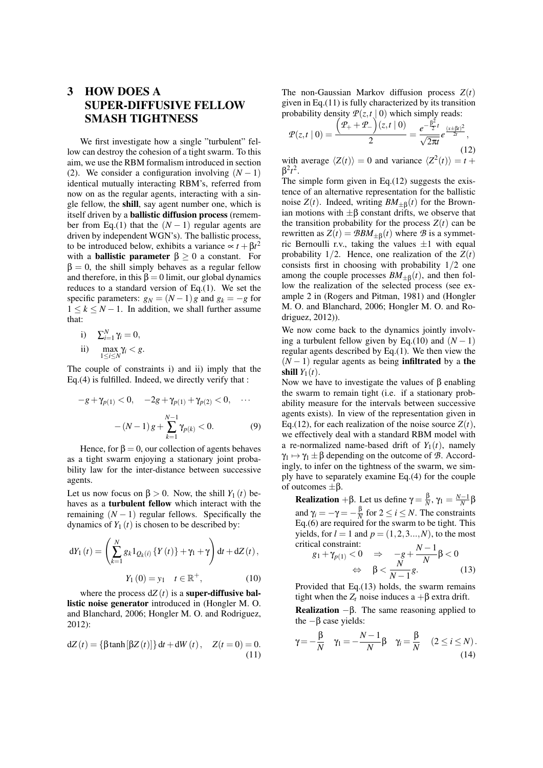# 3 HOW DOES A SUPER-DIFFUSIVE FELLOW SMASH TIGHTNESS

We first investigate how a single "turbulent" fellow can destroy the cohesion of a tight swarm. To this aim, we use the RBM formalism introduced in section (2). We consider a configuration involving  $(N - 1)$ identical mutually interacting RBM's, referred from now on as the regular agents, interacting with a single fellow, the shill, say agent number one, which is itself driven by a ballistic diffusion process (remember from Eq.(1) that the  $(N - 1)$  regular agents are driven by independent WGN's). The ballistic process, to be introduced below, exhibits a variance  $\propto t + \beta t^2$ with a **ballistic parameter**  $\beta \ge 0$  a constant. For  $\beta = 0$ , the shill simply behaves as a regular fellow and therefore, in this  $\beta = 0$  limit, our global dynamics reduces to a standard version of Eq.(1). We set the specific parameters:  $g_N = (N-1)g$  and  $g_k = -g$  for  $1 \leq k \leq N-1$ . In addition, we shall further assume that:

i) 
$$
\sum_{i=1}^{N} \gamma_i = 0,
$$
  
ii) 
$$
\max_{1 \le i \le N} \gamma_i < g.
$$

The couple of constraints i) and ii) imply that the Eq.(4) is fulfilled. Indeed, we directly verify that :

$$
-g + \gamma_{p(1)} < 0, \quad -2g + \gamma_{p(1)} + \gamma_{p(2)} < 0, \quad \cdots
$$

$$
-(N-1)g + \sum_{k=1}^{N-1} \gamma_{p(k)} < 0.
$$
 (9)

Hence, for  $\beta = 0$ , our collection of agents behaves as a tight swarm enjoying a stationary joint probability law for the inter-distance between successive agents.

Let us now focus on  $\beta > 0$ . Now, the shill  $Y_1(t)$  behaves as a turbulent fellow which interact with the remaining  $(N - 1)$  regular fellows. Specifically the dynamics of  $Y_1(t)$  is chosen to be described by:

$$
dY_1(t) = \left(\sum_{k=1}^{N} g_k 1_{Q_k(i)} \{Y(t)\} + \gamma_1 + \gamma \right) dt + dZ(t),
$$
  

$$
Y_1(0) = y_1 \quad t \in \mathbb{R}^+, \tag{10}
$$

where the process  $dZ(t)$  is a **super-diffusive bal**listic noise generator introduced in (Hongler M. O. and Blanchard, 2006; Hongler M. O. and Rodriguez, 2012):

$$
dZ(t) = {\beta \tanh [\beta Z(t)]} dt + dW(t), \quad Z(t=0) = 0.
$$
\n(11)

The non-Gaussian Markov diffusion process *Z*(*t*) given in Eq.(11) is fully characterized by its transition probability density  $P(z,t|0)$  which simply reads:<br> $(\varphi_+ + \varphi_-)(z,t|0) = \frac{\beta^2}{2}$ 

$$
\mathcal{P}(z,t \mid 0) = \frac{\left(\mathcal{P}_{+} + \mathcal{P}_{-}\right)(z,t \mid 0)}{2} = \frac{e^{-\frac{\beta^{2}}{2}t}}{\sqrt{2\pi t}}e^{\frac{(x+\beta t)^{2}}{2t}},
$$
\n(12)

with average  $\langle Z(t) \rangle = 0$  and variance  $\langle Z^2(t) \rangle = t + \frac{1}{2}$  $β<sup>2</sup>t<sup>2</sup>$ .

The simple form given in Eq. $(12)$  suggests the existence of an alternative representation for the ballistic noise  $Z(t)$ . Indeed, writing  $BM_{\pm\beta}(t)$  for the Brownian motions with  $\pm \beta$  constant drifts, we observe that the transition probability for the process  $Z(t)$  can be rewritten as  $Z(t) = \mathcal{B}BM_{\pm \beta}(t)$  where  $\beta$  is a symmetric Bernoulli r.v., taking the values  $\pm 1$  with equal probability  $1/2$ . Hence, one realization of the  $Z(t)$ consists first in choosing with probability 1/2 one among the couple processes  $BM_{+}$ β(*t*), and then follow the realization of the selected process (see example 2 in (Rogers and Pitman, 1981) and (Hongler M. O. and Blanchard, 2006; Hongler M. O. and Rodriguez, 2012)).

We now come back to the dynamics jointly involving a turbulent fellow given by Eq.(10) and  $(N - 1)$ regular agents described by Eq.(1). We then view the  $(N-1)$  regular agents as being **infiltrated** by a **the** shill  $Y_1(t)$ .

Now we have to investigate the values of β enabling the swarm to remain tight (i.e. if a stationary probability measure for the intervals between successive agents exists). In view of the representation given in Eq.(12), for each realization of the noise source  $Z(t)$ , we effectively deal with a standard RBM model with a re-normalized name-based drift of  $Y_1(t)$ , namely  $\gamma_1 \mapsto \gamma_1 \pm \beta$  depending on the outcome of *B*. Accordingly, to infer on the tightness of the swarm, we simply have to separately examine Eq.(4) for the couple of outcomes ±β.

**Realization** + β. Let us define  $\gamma = \frac{\beta}{N}$ ,  $\gamma_1 = \frac{N-1}{N}$  β and  $\gamma_i = -\gamma = -\frac{\beta}{N}$  for  $2 \le i \le N$ . The constraints Eq.(6) are required for the swarm to be tight. This yields, for  $l = 1$  and  $p = (1, 2, 3, \ldots, N)$ , to the most critical constraint:

$$
\begin{array}{rcl}\n\text{can constraint:} \\
g_1 + \gamma_{p(1)} < 0 & \Rightarrow & -g + \frac{N-1}{N} \beta < 0 \\
& \Leftrightarrow & \beta < \frac{N}{N-1} g.\n\end{array}\n\tag{13}
$$

Provided that Eq.(13) holds, the swarm remains tight when the  $Z_t$  noise induces a  $+\beta$  extra drift.

Realization  $-\beta$ . The same reasoning applied to the  $-\beta$  case yields:

$$
\gamma = -\frac{\beta}{N} \quad \gamma_1 = -\frac{N-1}{N} \beta \quad \gamma_i = \frac{\beta}{N} \quad (2 \le i \le N).
$$
\n(14)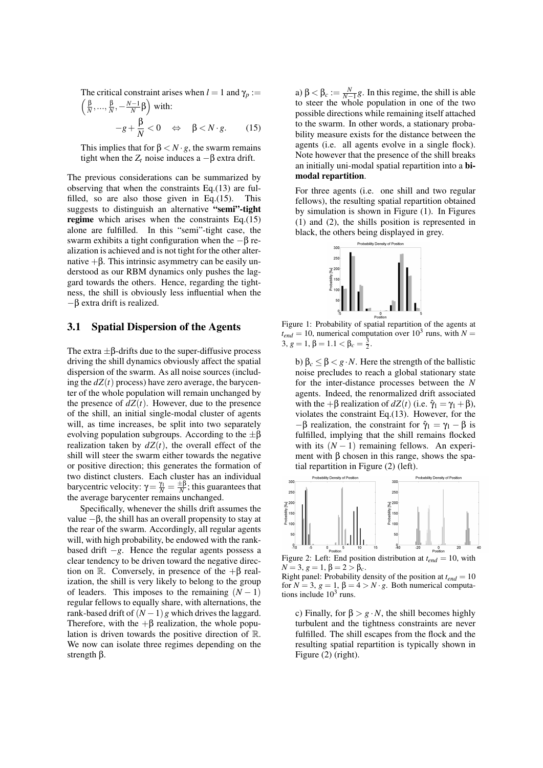The critical constraint arises when  $l = 1$  and  $\gamma_p :=$  $\left(\frac{\beta}{N},\ldots,\frac{\beta}{N},-\frac{N-1}{N}\beta\right)$  with:

$$
-g + \frac{\beta}{N} < 0 \quad \Leftrightarrow \quad \beta < N \cdot g. \tag{15}
$$

This implies that for  $\beta < N \cdot g$ , the swarm remains tight when the  $Z_t$  noise induces a  $-\beta$  extra drift.

The previous considerations can be summarized by observing that when the constraints Eq.(13) are fulfilled, so are also those given in Eq.(15). This suggests to distinguish an alternative "semi"-tight regime which arises when the constraints Eq.(15) alone are fulfilled. In this "semi"-tight case, the swarm exhibits a tight configuration when the  $-\beta$  realization is achieved and is not tight for the other alternative  $+β$ . This intrinsic asymmetry can be easily understood as our RBM dynamics only pushes the laggard towards the others. Hence, regarding the tightness, the shill is obviously less influential when the  $-\beta$  extra drift is realized.

#### 3.1 Spatial Dispersion of the Agents

The extra  $\pm \beta$ -drifts due to the super-diffusive process driving the shill dynamics obviously affect the spatial dispersion of the swarm. As all noise sources (including the  $dZ(t)$  process) have zero average, the barycenter of the whole population will remain unchanged by the presence of  $dZ(t)$ . However, due to the presence of the shill, an initial single-modal cluster of agents will, as time increases, be split into two separately evolving population subgroups. According to the  $\pm \beta$ realization taken by  $dZ(t)$ , the overall effect of the shill will steer the swarm either towards the negative or positive direction; this generates the formation of two distinct clusters. Each cluster has an individual barycentric velocity:  $\gamma = \frac{\gamma_1}{N} = \frac{\pm \beta}{N}$ ; this guarantees that the average barycenter remains unchanged.

Specifically, whenever the shills drift assumes the value  $-\beta$ , the shill has an overall propensity to stay at the rear of the swarm. Accordingly, all regular agents will, with high probability, be endowed with the rankbased drift −*g*. Hence the regular agents possess a clear tendency to be driven toward the negative direction on R. Conversely, in presence of the  $+\beta$  realization, the shill is very likely to belong to the group of leaders. This imposes to the remaining  $(N - 1)$ regular fellows to equally share, with alternations, the rank-based drift of  $(N-1)$ *g* which drives the laggard. Therefore, with the  $+\beta$  realization, the whole population is driven towards the positive direction of  $\mathbb{R}$ . We now can isolate three regimes depending on the strength β.

a)  $\beta < \beta_c := \frac{N}{N-1}g$ . In this regime, the shill is able to steer the whole population in one of the two possible directions while remaining itself attached to the swarm. In other words, a stationary probability measure exists for the distance between the agents (i.e. all agents evolve in a single flock). Note however that the presence of the shill breaks an initially uni-modal spatial repartition into a bimodal repartition.

For three agents (i.e. one shill and two regular fellows), the resulting spatial repartition obtained by simulation is shown in Figure (1). In Figures (1) and (2), the shills position is represented in black, the others being displayed in grey.



Figure 1: Probability of spatial repartition of the agents at  $t_{end} = 10$ , numerical computation over  $10^3$  runs, with  $N =$ 3,  $g = 1, \beta = 1.1 < \beta_c = \frac{3}{2}$ .

b) β*<sup>c</sup>* ≤ β < *g*·*N*. Here the strength of the ballistic noise precludes to reach a global stationary state for the inter-distance processes between the *N* agents. Indeed, the renormalized drift associated with the +β realization of  $dZ(t)$  (i.e.  $\hat{\gamma}_1 = \gamma_1 + \beta$ ), violates the constraint Eq.(13). However, for the  $-\beta$  realization, the constraint for  $\hat{\gamma}_1 = \gamma_1 - \beta$  is fulfilled, implying that the shill remains flocked with its  $(N - 1)$  remaining fellows. An experiment with  $\beta$  chosen in this range, shows the spatial repartition in Figure (2) (left).



Figure 2: Left: End position distribution at *tend* = 10, with *N* = 3, *g* = 1, β = 2 > β<sub>*c*</sub>.

Right panel: Probability density of the position at  $t_{end} = 10$ for  $N = 3$ ,  $g = 1$ ,  $\beta = 4 > N \cdot g$ . Both numerical computations include  $10<sup>3</sup>$  runs.

c) Finally, for  $\beta > g \cdot N$ , the shill becomes highly turbulent and the tightness constraints are never fulfilled. The shill escapes from the flock and the resulting spatial repartition is typically shown in Figure (2) (right).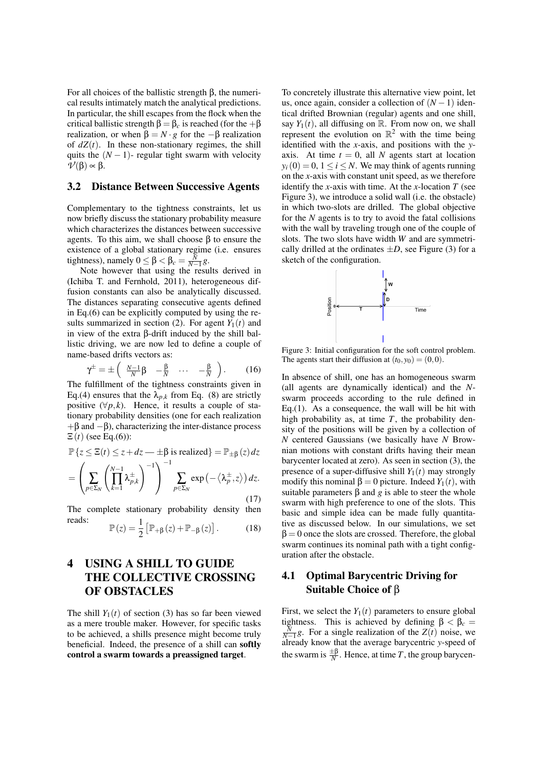For all choices of the ballistic strength β, the numerical results intimately match the analytical predictions. In particular, the shill escapes from the flock when the critical ballistic strength  $\beta = \beta_c$  is reached (for the  $+\beta$ realization, or when  $β = N \cdot g$  for the  $-β$  realization of  $dZ(t)$ . In these non-stationary regimes, the shill quits the  $(N - 1)$ - regular tight swarm with velocity  $V(\beta) \propto \beta$ .

#### 3.2 Distance Between Successive Agents

Complementary to the tightness constraints, let us now briefly discuss the stationary probability measure which characterizes the distances between successive agents. To this aim, we shall choose  $β$  to ensure the existence of a global stationary regime (i.e. ensures tightness), namely  $0 \le \beta < \beta_c = \frac{\bar{N}}{N-1}g$ .

Note however that using the results derived in (Ichiba T. and Fernhold, 2011), heterogeneous diffusion constants can also be analytically discussed. The distances separating consecutive agents defined in Eq.(6) can be explicitly computed by using the results summarized in section (2). For agent  $Y_1(t)$  and in view of the extra β-drift induced by the shill ballistic driving, we are now led to define a couple of name-based drifts vectors as:

$$
\gamma^{\pm} = \pm \left( \begin{array}{cc} \frac{N-1}{N} \beta & -\frac{\beta}{N} & \cdots & -\frac{\beta}{N} \end{array} \right). \tag{16}
$$

The fulfillment of the tightness constraints given in Eq.(4) ensures that the  $\lambda_{p,k}$  from Eq. (8) are strictly positive  $(\forall p, k)$ . Hence, it results a couple of stationary probability densities (one for each realization  $+\beta$  and  $-\beta$ ), characterizing the inter-distance process  $E(t)$  (see Eq.(6)):

$$
\mathbb{P}\left\{z \leq \Xi(t) \leq z + dz - \pm \beta \text{ is realized}\right\} = \mathbb{P}_{\pm\beta}(z) dz
$$

$$
= \left(\sum_{p \in \Sigma_N} \left(\prod_{k=1}^{N-1} \lambda_{p,k}^{\pm}\right)^{-1}\right)^{-1} \sum_{p \in \Sigma_N} \exp\left(-\left\langle\lambda_p^{\pm}, z\right\rangle\right) dz.
$$
(17)

The complete stationary probability density then reads:

$$
\mathbb{P}(z) = \frac{1}{2} \left[ \mathbb{P}_{+\beta}(z) + \mathbb{P}_{-\beta}(z) \right].
$$
 (18)

# 4 USING A SHILL TO GUIDE THE COLLECTIVE CROSSING OF OBSTACLES

The shill  $Y_1(t)$  of section (3) has so far been viewed as a mere trouble maker. However, for specific tasks to be achieved, a shills presence might become truly beneficial. Indeed, the presence of a shill can softly control a swarm towards a preassigned target.

To concretely illustrate this alternative view point, let us, once again, consider a collection of  $(N - 1)$  identical drifted Brownian (regular) agents and one shill, say  $Y_1(t)$ , all diffusing on R. From now on, we shall represent the evolution on  $\mathbb{R}^2$  with the time being identified with the *x*-axis, and positions with the *y*axis. At time  $t = 0$ , all *N* agents start at location  $y_i(0) = 0, 1 \le i \le N$ . We may think of agents running on the *x*-axis with constant unit speed, as we therefore identify the *x*-axis with time. At the *x*-location  $T$  (see Figure 3), we introduce a solid wall (i.e. the obstacle) in which two-slots are drilled. The global objective for the *N* agents is to try to avoid the fatal collisions with the wall by traveling trough one of the couple of slots. The two slots have width *W* and are symmetrically drilled at the ordinates  $\pm D$ , see Figure (3) for a sketch of the configuration.



Figure 3: Initial configuration for the soft control problem. The agents start their diffusion at  $(t_0, y_0) = (0, 0)$ .

In absence of shill, one has an homogeneous swarm (all agents are dynamically identical) and the *N*swarm proceeds according to the rule defined in Eq.(1). As a consequence, the wall will be hit with high probability as, at time  $T$ , the probability density of the positions will be given by a collection of *N* centered Gaussians (we basically have *N* Brownian motions with constant drifts having their mean barycenter located at zero). As seen in section (3), the presence of a super-diffusive shill  $Y_1(t)$  may strongly modify this nominal  $\beta = 0$  picture. Indeed  $Y_1(t)$ , with suitable parameters  $β$  and *g* is able to steer the whole swarm with high preference to one of the slots. This basic and simple idea can be made fully quantitative as discussed below. In our simulations, we set  $\beta = 0$  once the slots are crossed. Therefore, the global swarm continues its nominal path with a tight configuration after the obstacle.

### 4.1 Optimal Barycentric Driving for Suitable Choice of β

First, we select the  $Y_1(t)$  parameters to ensure global tightness. This is achieved by defining  $β < β<sub>c</sub>$  $\frac{\overline{N}}{N-1}$ g. For a single realization of the *Z*(*t*) noise, we already know that the average barycentric *y*-speed of the swarm is  $\frac{\pm \beta}{N}$ . Hence, at time *T*, the group barycen-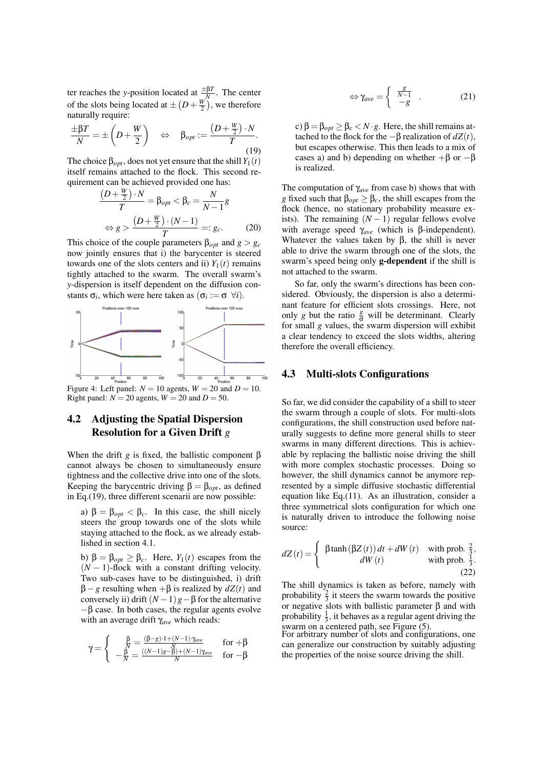ter reaches the *y*-position located at  $\frac{\pm \beta T}{N}$ . The center of the slots being located at  $\pm (D + \frac{W}{2})$ , we therefore naturally require:

$$
\frac{\pm \beta T}{N} = \pm \left( D + \frac{W}{2} \right) \quad \Leftrightarrow \quad \beta_{opt} := \frac{\left( D + \frac{W}{2} \right) \cdot N}{T}.
$$
\n(19)

The choice  $\beta_{opt}$ , does not yet ensure that the shill  $Y_1(t)$ itself remains attached to the flock. This second requirement can be achieved provided one has:

$$
\frac{(D+\frac{W}{2})\cdot N}{T} = \beta_{opt} < \beta_c = \frac{N}{N-1}g
$$

$$
\Leftrightarrow g > \frac{(D+\frac{W}{2})\cdot (N-1)}{T} =: g_c.
$$
 (20)

This choice of the couple parameters  $\beta_{opt}$  and  $g > g_c$ now jointly ensures that i) the barycenter is steered towards one of the slots centers and ii)  $Y_1(t)$  remains tightly attached to the swarm. The overall swarm's *y*-dispersion is itself dependent on the diffusion constants  $\sigma_i$ , which were here taken as  $(\sigma_i := \sigma \ \forall i)$ .



Right panel:  $N = 20$  agents,  $W = 20$  and  $D = 50$ .

### 4.2 Adjusting the Spatial Dispersion Resolution for a Given Drift *g*

When the drift *g* is fixed, the ballistic component  $\beta$ cannot always be chosen to simultaneously ensure tightness and the collective drive into one of the slots. Keeping the barycentric driving  $\beta = \beta_{opt}$ , as defined in Eq.(19), three different scenarii are now possible:

a)  $\beta = \beta_{opt} < \beta_c$ . In this case, the shill nicely steers the group towards one of the slots while staying attached to the flock, as we already established in section 4.1.

b) β = β*opt* ≥ β*c*. Here, *Y*1(*t*) escapes from the  $(N-1)$ -flock with a constant drifting velocity. Two sub-cases have to be distinguished, i) drift  $β − g$  resulting when  $+β$  is realized by  $dZ(t)$  and conversely ii) drift  $(N-1)g-\beta$  for the alternative  $-\beta$  case. In both cases, the regular agents evolve with an average drift γ*ave* which reads:

$$
\gamma = \begin{cases} \frac{\beta}{N} = \frac{(\beta - g) \cdot 1 + (N - 1) \cdot \gamma_{ave}}{N} & \text{for } +\beta\\ -\frac{\beta}{N} = \frac{((N - 1)g - \beta) + (N - 1) \gamma_{ave}}{N} & \text{for } -\beta \end{cases}
$$

$$
\Leftrightarrow \gamma_{ave} = \begin{cases} \frac{g}{N-1} & . \end{cases} \tag{21}
$$

c)  $β = β<sub>opt</sub> ≥ β<sub>c</sub> < N · g$ . Here, the shill remains attached to the flock for the  $-\beta$  realization of  $dZ(t)$ , but escapes otherwise. This then leads to a mix of cases a) and b) depending on whether  $+\beta$  or  $-\beta$ is realized.

The computation of γ*ave* from case b) shows that with *g* fixed such that  $\beta_{opt} \geq \beta_c$ , the shill escapes from the flock (hence, no stationary probability measure exists). The remaining  $(N - 1)$  regular fellows evolve with average speed γ*ave* (which is β-independent). Whatever the values taken by  $\beta$ , the shill is never able to drive the swarm through one of the slots, the swarm's speed being only g-dependent if the shill is not attached to the swarm.

So far, only the swarm's directions has been considered. Obviously, the dispersion is also a determinant feature for efficient slots crossings. Here, not only *g* but the ratio  $\frac{g}{\sigma}$  will be determinant. Clearly for small *g* values, the swarm dispersion will exhibit a clear tendency to exceed the slots widths, altering therefore the overall efficiency.

#### 4.3 Multi-slots Configurations

So far, we did consider the capability of a shill to steer the swarm through a couple of slots. For multi-slots configurations, the shill construction used before naturally suggests to define more general shills to steer swarms in many different directions. This is achievable by replacing the ballistic noise driving the shill with more complex stochastic processes. Doing so however, the shill dynamics cannot be anymore represented by a simple diffusive stochastic differential equation like Eq.(11). As an illustration, consider a three symmetrical slots configuration for which one is naturally driven to introduce the following noise source:

$$
dZ(t) = \begin{cases} \beta \tanh(\beta Z(t)) dt + dW(t) & \text{with prob. } \frac{2}{3}, \\ dW(t) & \text{with prob. } \frac{1}{3}. \end{cases}
$$
 (22)

The shill dynamics is taken as before, namely with probability  $\frac{2}{3}$  it steers the swarm towards the positive or negative slots with ballistic parameter β and with probability  $\frac{1}{3}$ , it behaves as a regular agent driving the probability 3, it behaves as a regular agent driving the<br>swarm on a centered path, see Figure (5).<br>For arbitrary number of slots and configurations, one

can generalize our construction by suitably adjusting the properties of the noise source driving the shill.